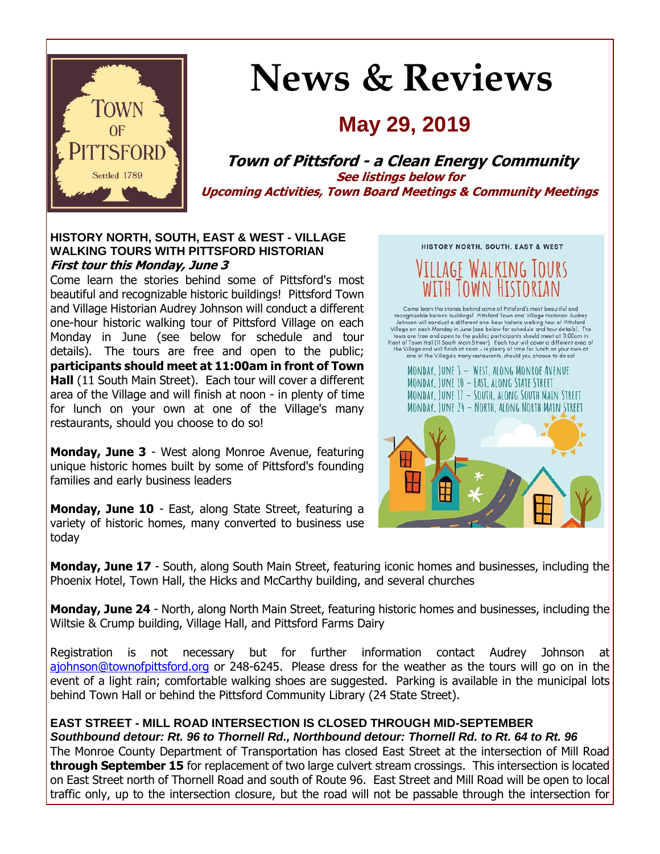

# **News & Reviews**

## **May 29, 2019**

**Town of Pittsford - a Clean Energy Community See listings below for Upcoming Activities, Town Board Meetings & Community Meetings**

#### **HISTORY NORTH, SOUTH, EAST & WEST - VILLAGE WALKING TOURS WITH PITTSFORD HISTORIAN First tour this Monday, June 3**

Come learn the stories behind some of Pittsford's most beautiful and recognizable historic buildings! Pittsford Town and Village Historian Audrey Johnson will conduct a different one-hour historic walking tour of Pittsford Village on each Monday in June (see below for schedule and tour details). The tours are free and open to the public; **participants should meet at 11:00am in front of Town Hall** (11 South Main Street). Each tour will cover a different area of the Village and will finish at noon - in plenty of time for lunch on your own at one of the Village's many restaurants, should you choose to do so!

**Monday, June 3** - West along Monroe Avenue, featuring unique historic homes built by some of Pittsford's founding families and early business leaders

**Monday, June 10** - East, along State Street, featuring a variety of historic homes, many converted to business use today



**Monday, June 17** - South, along South Main Street, featuring iconic homes and businesses, including the Phoenix Hotel, Town Hall, the Hicks and McCarthy building, and several churches

**Monday, June 24** - North, along North Main Street, featuring historic homes and businesses, including the Wiltsie & Crump building, Village Hall, and Pittsford Farms Dairy

Registration is not necessary but for further information contact Audrey Johnson at [ajohnson@townofpittsford.org](mailto:ajohnson@townofpittsford.org?subject=Village%20Walking%20Tours%202019) or 248-6245. Please dress for the weather as the tours will go on in the event of a light rain; comfortable walking shoes are suggested. Parking is available in the municipal lots behind Town Hall or behind the Pittsford Community Library (24 State Street).

#### **EAST STREET - MILL ROAD INTERSECTION IS CLOSED THROUGH MID-SEPTEMBER**

*Southbound detour: Rt. 96 to Thornell Rd., Northbound detour: Thornell Rd. to Rt. 64 to Rt. 96*

The Monroe County Department of Transportation has closed East Street at the intersection of Mill Road **through September 15** for replacement of two large culvert stream crossings. This intersection is located on East Street north of Thornell Road and south of Route 96. East Street and Mill Road will be open to local traffic only, up to the intersection closure, but the road will not be passable through the intersection for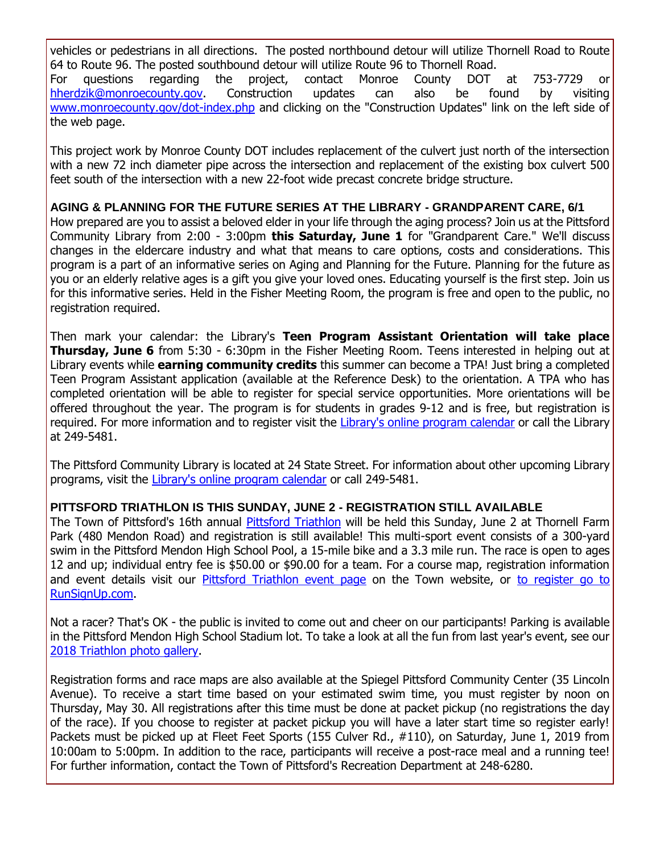vehicles or pedestrians in all directions. The posted northbound detour will utilize Thornell Road to Route 64 to Route 96. The posted southbound detour will utilize Route 96 to Thornell Road. For questions regarding the project, contact Monroe County DOT at 753-7729 or [hherdzik@monroecounty.gov.](mailto:hherdzik@monroecounty.gov?subject=Pittsford%20East%20Street-Mill%20Road%20Culvert%20Replacement%20Project) Construction updates can also be found by visiting [www.monroecounty.gov/dot-index.php](http://r20.rs6.net/tn.jsp?f=001P6PuE_jPU8m2jcFySMy50smOMCmqE6EOZbotH9dMVpRp1KZzqs9vnlZcG-UzH7mGEbXpE08ap_HzkgTHFy3wJAE5jbzMza3TjG5Gc_ebJMedi09JcDSQVER9TTJ_fodMb-7mvINHujBPcEJsxPN3RvnMh2cr3lKfd_2MIsIUmoSgpDqlVDysOV_B_IU0hzF01sBTSfIPmdR1hQWfWGL-r-zexRxOfWDRhORUm3QMDu0JyoPu4qbEHDRg-AkVoom0i8BPeavlsr-u7ZX32flWTji_bhdqqttQc99qHKb4ilobeCVbiKO15g==&c=q2lKtz_Vl2evir0swC0pSpBNavNFHjI1DWFZq1FsdwoHCD_IQp5xpQ==&ch=G8pmR5EhsxUWkgmLJbEBCAP9Z7M11YD71rbETxQTvjMLrd96uMiFvw==) and clicking on the "Construction Updates" link on the left side of the web page.

This project work by Monroe County DOT includes replacement of the culvert just north of the intersection with a new 72 inch diameter pipe across the intersection and replacement of the existing box culvert 500 feet south of the intersection with a new 22-foot wide precast concrete bridge structure.

#### **AGING & PLANNING FOR THE FUTURE SERIES AT THE LIBRARY - GRANDPARENT CARE, 6/1**

How prepared are you to assist a beloved elder in your life through the aging process? Join us at the Pittsford Community Library from 2:00 - 3:00pm **this Saturday, June 1** for "Grandparent Care." We'll discuss changes in the eldercare industry and what that means to care options, costs and considerations. This program is a part of an informative series on Aging and Planning for the Future. Planning for the future as you or an elderly relative ages is a gift you give your loved ones. Educating yourself is the first step. Join us for this informative series. Held in the Fisher Meeting Room, the program is free and open to the public, no registration required.

Then mark your calendar: the Library's **Teen Program Assistant Orientation will take place Thursday, June 6** from 5:30 - 6:30pm in the Fisher Meeting Room. Teens interested in helping out at Library events while **earning community credits** this summer can become a TPA! Just bring a completed Teen Program Assistant application (available at the Reference Desk) to the orientation. A TPA who has completed orientation will be able to register for special service opportunities. More orientations will be offered throughout the year. The program is for students in grades 9-12 and is free, but registration is required. For more information and to register visit the Library's [online program calendar](http://r20.rs6.net/tn.jsp?f=001P6PuE_jPU8m2jcFySMy50smOMCmqE6EOZbotH9dMVpRp1KZzqs9vnsSwj_E1ZzZ4AEswfNwvLynZW8OJtC8pnbzgDsD1tIb36pkDjzdiExGLEZQQjtjGx2UBg9SM9u3X0U0RxMPsrLEpt1SiNzCd_c_hB7_kEHc-t5AYKqXp2UMQ4i4v7putuRgInUswo8v0gnowD-AEVlIq_LbYe0RyU8McVa5MzOFU5yaPcrF6_iKwdFhDfHbgbIb4tuGLzTvlMN5MsNovLg1eMXnFF2mVanJA2ylVXf2e8VO9vTq18jYEx1uwsMOc1M1NEph0tXbXNYJD7WPj0wlJEmSqlqSKdGtdccvKLTDFW84V_YeL7MbQKOe5N_k3ahbPCriUgVwNQnm8qHm8hJn37c02OJdX9TuFAV175dDO&c=q2lKtz_Vl2evir0swC0pSpBNavNFHjI1DWFZq1FsdwoHCD_IQp5xpQ==&ch=G8pmR5EhsxUWkgmLJbEBCAP9Z7M11YD71rbETxQTvjMLrd96uMiFvw==) or call the Library at 249-5481.

The Pittsford Community Library is located at 24 State Street. For information about other upcoming Library programs, visit the [Library's online program calendar](http://r20.rs6.net/tn.jsp?f=001P6PuE_jPU8m2jcFySMy50smOMCmqE6EOZbotH9dMVpRp1KZzqs9vnsSwj_E1ZzZ4AEswfNwvLynZW8OJtC8pnbzgDsD1tIb36pkDjzdiExGLEZQQjtjGx2UBg9SM9u3X0U0RxMPsrLEpt1SiNzCd_c_hB7_kEHc-t5AYKqXp2UMQ4i4v7putuRgInUswo8v0gnowD-AEVlIq_LbYe0RyU8McVa5MzOFU5yaPcrF6_iKwdFhDfHbgbIb4tuGLzTvlMN5MsNovLg1eMXnFF2mVanJA2ylVXf2e8VO9vTq18jYEx1uwsMOc1M1NEph0tXbXNYJD7WPj0wlJEmSqlqSKdGtdccvKLTDFW84V_YeL7MbQKOe5N_k3ahbPCriUgVwNQnm8qHm8hJn37c02OJdX9TuFAV175dDO&c=q2lKtz_Vl2evir0swC0pSpBNavNFHjI1DWFZq1FsdwoHCD_IQp5xpQ==&ch=G8pmR5EhsxUWkgmLJbEBCAP9Z7M11YD71rbETxQTvjMLrd96uMiFvw==) or call 249-5481.

#### **PITTSFORD TRIATHLON IS THIS SUNDAY, JUNE 2 - REGISTRATION STILL AVAILABLE**

The Town of Pittsford's 16th annual [Pittsford Triathlon](http://r20.rs6.net/tn.jsp?f=001P6PuE_jPU8m2jcFySMy50smOMCmqE6EOZbotH9dMVpRp1KZzqs9vnt8RgsZ5k_mou0qzAk55W6Ul3xcAh_hdvWQLQ8G_4TXWA9nowgCcQ4LqWpymOpQosUq8sgHX5LLIs21XuSgQzLNaupuwlR0vC15GcmbA5DvjwH7Am3lri-rxNdo8uiTRjXcS2-P0aMn7spn6xN-C0dbEHhpeXyZv2oVo4AV9zPRAAY6qMLkbPi_1Uh4a0ncaZUejbn2KDhazYuy61YFCBxgGsEXwEpomAJ8sJI2-FLJHBe5S8rgSBEkE09CsPRxZJg==&c=q2lKtz_Vl2evir0swC0pSpBNavNFHjI1DWFZq1FsdwoHCD_IQp5xpQ==&ch=G8pmR5EhsxUWkgmLJbEBCAP9Z7M11YD71rbETxQTvjMLrd96uMiFvw==) will be held this Sunday, June 2 at Thornell Farm Park (480 Mendon Road) and registration is still available! This multi-sport event consists of a 300-yard swim in the Pittsford Mendon High School Pool, a 15-mile bike and a 3.3 mile run. The race is open to ages 12 and up; individual entry fee is \$50.00 or \$90.00 for a team. For a course map, registration information and event details visit our [Pittsford Triathlon event page](http://r20.rs6.net/tn.jsp?f=001P6PuE_jPU8m2jcFySMy50smOMCmqE6EOZbotH9dMVpRp1KZzqs9vnt8RgsZ5k_mou0qzAk55W6Ul3xcAh_hdvWQLQ8G_4TXWA9nowgCcQ4LqWpymOpQosUq8sgHX5LLIs21XuSgQzLNaupuwlR0vC15GcmbA5DvjwH7Am3lri-rxNdo8uiTRjXcS2-P0aMn7spn6xN-C0dbEHhpeXyZv2oVo4AV9zPRAAY6qMLkbPi_1Uh4a0ncaZUejbn2KDhazYuy61YFCBxgGsEXwEpomAJ8sJI2-FLJHBe5S8rgSBEkE09CsPRxZJg==&c=q2lKtz_Vl2evir0swC0pSpBNavNFHjI1DWFZq1FsdwoHCD_IQp5xpQ==&ch=G8pmR5EhsxUWkgmLJbEBCAP9Z7M11YD71rbETxQTvjMLrd96uMiFvw==) on the Town website, or [to register go to](http://r20.rs6.net/tn.jsp?f=001P6PuE_jPU8m2jcFySMy50smOMCmqE6EOZbotH9dMVpRp1KZzqs9vnt8RgsZ5k_moxdKGtaEPBk9jxPawYX9Htjncey2jZ9EUDpFMUymlE3CYltQ4vmSP206EWf_wm5pv5HYUgSp4RolaEMmR37rA9lO8LmII1WIafir0rJLxIgw6LnT7NXzZXknDK-CywvzOUM-Qcg8rqcfxvbFmQ8cUgXPw-QQMlrhw7LMGuUettM6sD9imM_JaV6TJTwNcHte3x2ypzPZDAOKrOHAF2dosxWtxsMMgwupGW0i0DoFULfn97yYrXR21hvw8tEwe4Z8gMErv3AlY3qm14o_u_D-VxA==&c=q2lKtz_Vl2evir0swC0pSpBNavNFHjI1DWFZq1FsdwoHCD_IQp5xpQ==&ch=G8pmR5EhsxUWkgmLJbEBCAP9Z7M11YD71rbETxQTvjMLrd96uMiFvw==)  [RunSignUp.com.](http://r20.rs6.net/tn.jsp?f=001P6PuE_jPU8m2jcFySMy50smOMCmqE6EOZbotH9dMVpRp1KZzqs9vnt8RgsZ5k_moxdKGtaEPBk9jxPawYX9Htjncey2jZ9EUDpFMUymlE3CYltQ4vmSP206EWf_wm5pv5HYUgSp4RolaEMmR37rA9lO8LmII1WIafir0rJLxIgw6LnT7NXzZXknDK-CywvzOUM-Qcg8rqcfxvbFmQ8cUgXPw-QQMlrhw7LMGuUettM6sD9imM_JaV6TJTwNcHte3x2ypzPZDAOKrOHAF2dosxWtxsMMgwupGW0i0DoFULfn97yYrXR21hvw8tEwe4Z8gMErv3AlY3qm14o_u_D-VxA==&c=q2lKtz_Vl2evir0swC0pSpBNavNFHjI1DWFZq1FsdwoHCD_IQp5xpQ==&ch=G8pmR5EhsxUWkgmLJbEBCAP9Z7M11YD71rbETxQTvjMLrd96uMiFvw==)

Not a racer? That's OK - the public is invited to come out and cheer on our participants! Parking is available in the Pittsford Mendon High School Stadium lot. To take a look at all the fun from last year's event, see our [2018 Triathlon photo gallery.](http://r20.rs6.net/tn.jsp?f=001P6PuE_jPU8m2jcFySMy50smOMCmqE6EOZbotH9dMVpRp1KZzqs9vnuiXsbBLZJ74M088c1vkC3kHJ1fUVvKLco_YGnwyOTCMriFdbz3utslABb6lx6-KLq0PQw389xjB0cWahUiHbqagQ0wX6_byqGMdCdCz6CfGsATzN5o5n-UzeFkOw1-zGw9wClJLpbbWO4OgrbQjI88m5-F0P3b6-KqbrOM5NZx2pTVa8-FWQ4ydHT0vUHWfvhJhJT1utny6zCrAh4qK-lsGKE2eLIgp-_VtrD5zHuODqDfXC676EoX4L6VYxtYVtHY54bDfeIvq&c=q2lKtz_Vl2evir0swC0pSpBNavNFHjI1DWFZq1FsdwoHCD_IQp5xpQ==&ch=G8pmR5EhsxUWkgmLJbEBCAP9Z7M11YD71rbETxQTvjMLrd96uMiFvw==)

Registration forms and race maps are also available at the Spiegel Pittsford Community Center (35 Lincoln Avenue). To receive a start time based on your estimated swim time, you must register by noon on Thursday, May 30. All registrations after this time must be done at packet pickup (no registrations the day of the race). If you choose to register at packet pickup you will have a later start time so register early! Packets must be picked up at Fleet Feet Sports (155 Culver Rd., #110), on Saturday, June 1, 2019 from 10:00am to 5:00pm. In addition to the race, participants will receive a post-race meal and a running tee! For further information, contact the Town of Pittsford's Recreation Department at 248-6280.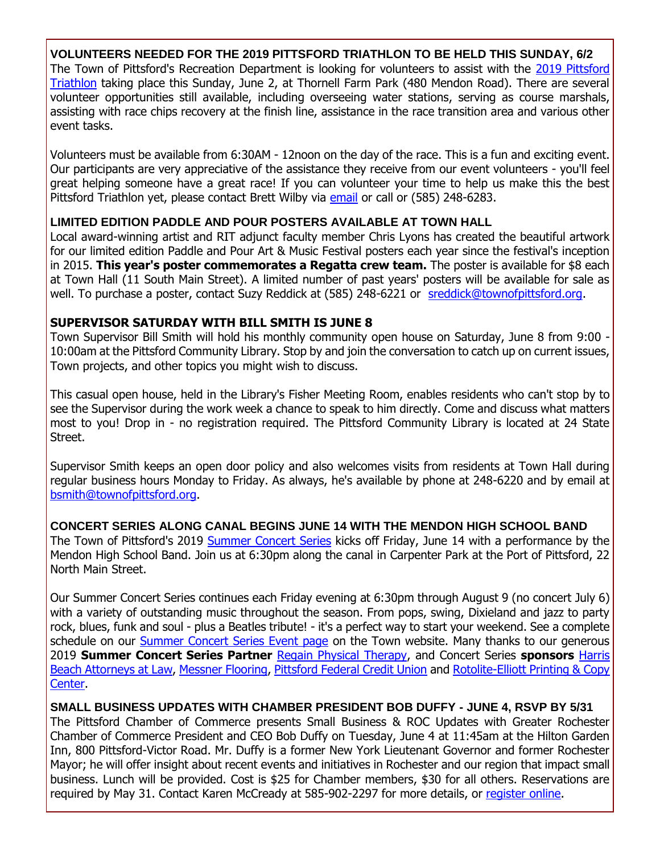#### **VOLUNTEERS NEEDED FOR THE 2019 PITTSFORD TRIATHLON TO BE HELD THIS SUNDAY, 6/2**

The Town of Pittsford's Recreation Department is looking for volunteers to assist with the 2019 Pittsford [Triathlon](http://r20.rs6.net/tn.jsp?f=001P6PuE_jPU8m2jcFySMy50smOMCmqE6EOZbotH9dMVpRp1KZzqs9vnt8RgsZ5k_mou0qzAk55W6Ul3xcAh_hdvWQLQ8G_4TXWA9nowgCcQ4LqWpymOpQosUq8sgHX5LLIs21XuSgQzLNaupuwlR0vC15GcmbA5DvjwH7Am3lri-rxNdo8uiTRjXcS2-P0aMn7spn6xN-C0dbEHhpeXyZv2oVo4AV9zPRAAY6qMLkbPi_1Uh4a0ncaZUejbn2KDhazYuy61YFCBxgGsEXwEpomAJ8sJI2-FLJHBe5S8rgSBEkE09CsPRxZJg==&c=q2lKtz_Vl2evir0swC0pSpBNavNFHjI1DWFZq1FsdwoHCD_IQp5xpQ==&ch=G8pmR5EhsxUWkgmLJbEBCAP9Z7M11YD71rbETxQTvjMLrd96uMiFvw==) taking place this Sunday, June 2, at Thornell Farm Park (480 Mendon Road). There are several volunteer opportunities still available, including overseeing water stations, serving as course marshals, assisting with race chips recovery at the finish line, assistance in the race transition area and various other event tasks.

Volunteers must be available from 6:30AM - 12noon on the day of the race. This is a fun and exciting event. Our participants are very appreciative of the assistance they receive from our event volunteers - you'll feel great helping someone have a great race! If you can volunteer your time to help us make this the best Pittsford Triathlon yet, please contact Brett Wilby via [email](mailto:bwilby@townofpittsford.org?subject=Pittsford%20Triathlon%20-%20volunteering) or call or (585) 248-6283.

#### **LIMITED EDITION PADDLE AND POUR POSTERS AVAILABLE AT TOWN HALL**

Local award-winning artist and RIT adjunct faculty member Chris Lyons has created the beautiful artwork for our limited edition Paddle and Pour Art & Music Festival posters each year since the festival's inception in 2015. **This year's poster commemorates a Regatta crew team.** The poster is available for \$8 each at Town Hall (11 South Main Street). A limited number of past years' posters will be available for sale as well. To purchase a poster, contact Suzy Reddick at (585) 248-6221 or [sreddick@townofpittsford.org.](mailto:sreddick@townofpittsford.org?subject=Paddle%20and%20Pour%20limited%20edition%20poster)

#### **SUPERVISOR SATURDAY WITH BILL SMITH IS JUNE 8**

Town Supervisor Bill Smith will hold his monthly community open house on Saturday, June 8 from 9:00 - 10:00am at the Pittsford Community Library. Stop by and join the conversation to catch up on current issues, Town projects, and other topics you might wish to discuss.

This casual open house, held in the Library's Fisher Meeting Room, enables residents who can't stop by to see the Supervisor during the work week a chance to speak to him directly. Come and discuss what matters most to you! Drop in - no registration required. The Pittsford Community Library is located at 24 State Street.

Supervisor Smith keeps an open door policy and also welcomes visits from residents at Town Hall during regular business hours Monday to Friday. As always, he's available by phone at 248-6220 and by email at [bsmith@townofpittsford.org.](mailto:bsmith@townofpittsford.org)

#### **CONCERT SERIES ALONG CANAL BEGINS JUNE 14 WITH THE MENDON HIGH SCHOOL BAND**

The Town of Pittsford's 2019 [Summer Concert Series](http://r20.rs6.net/tn.jsp?f=001P6PuE_jPU8m2jcFySMy50smOMCmqE6EOZbotH9dMVpRp1KZzqs9vnjxNS3AfKs6y7KFCrIE2dwOuhBrl1syqF9S0CWmI3eACypILaOG4m5DZyNWr36yVEA57AZgmMtn_rI_w9sxKJ3pMEtfXl0ZYW-a-F-3C0hNeGdLGrRZ6Zm9xy2kxHZowOFdTjxetiVkt-wkZWSGteZY2iEAiKUOj12ksUaBMqymTM5sCW8kh62ef8duEivu0Vpd5Fkt0EuO5-RpXSUxY8tYLTeW7p6TGi4UpXn0wbf47B6WntaUXt1-zHEr2cX_t4D9wYg-WDPT6&c=q2lKtz_Vl2evir0swC0pSpBNavNFHjI1DWFZq1FsdwoHCD_IQp5xpQ==&ch=G8pmR5EhsxUWkgmLJbEBCAP9Z7M11YD71rbETxQTvjMLrd96uMiFvw==) kicks off Friday, June 14 with a performance by the Mendon High School Band. Join us at 6:30pm along the canal in Carpenter Park at the Port of Pittsford, 22 North Main Street.

Our Summer Concert Series continues each Friday evening at 6:30pm through August 9 (no concert July 6) with a variety of outstanding music throughout the season. From pops, swing, Dixieland and jazz to party rock, blues, funk and soul - plus a Beatles tribute! - it's a perfect way to start your weekend. See a complete schedule on our **[Summer Concert Series Event page](http://r20.rs6.net/tn.jsp?f=001P6PuE_jPU8m2jcFySMy50smOMCmqE6EOZbotH9dMVpRp1KZzqs9vnjxNS3AfKs6y7KFCrIE2dwOuhBrl1syqF9S0CWmI3eACypILaOG4m5DZyNWr36yVEA57AZgmMtn_rI_w9sxKJ3pMEtfXl0ZYW-a-F-3C0hNeGdLGrRZ6Zm9xy2kxHZowOFdTjxetiVkt-wkZWSGteZY2iEAiKUOj12ksUaBMqymTM5sCW8kh62ef8duEivu0Vpd5Fkt0EuO5-RpXSUxY8tYLTeW7p6TGi4UpXn0wbf47B6WntaUXt1-zHEr2cX_t4D9wYg-WDPT6&c=q2lKtz_Vl2evir0swC0pSpBNavNFHjI1DWFZq1FsdwoHCD_IQp5xpQ==&ch=G8pmR5EhsxUWkgmLJbEBCAP9Z7M11YD71rbETxQTvjMLrd96uMiFvw==)** on the Town website. Many thanks to our generous 2019 **Summer Concert Series Partner** [Regain Physical Therapy,](http://r20.rs6.net/tn.jsp?f=001P6PuE_jPU8m2jcFySMy50smOMCmqE6EOZbotH9dMVpRp1KZzqs9vnr25NFvjs6Xa4Px7ksNgCkVtCilc3vREYMZ4FbyF9PCJ4U5hMt0EXBv1DSTCnnZeaobx60mRN7XNlj81CmR7iHvGUgZziJCi6oDA-DqSGpzwWhXXpkFVF0IiKS3Ge0lS2CVvT50AI4AzK_kdQ5FF-dK4vCVAyDpkFV-u5kKCOutZeD-mUeR97TgrNiYrxENb3WiOFLi1kn8f6FCW6CD-W682o1xeOOgJNnfLZAeEa52x&c=q2lKtz_Vl2evir0swC0pSpBNavNFHjI1DWFZq1FsdwoHCD_IQp5xpQ==&ch=G8pmR5EhsxUWkgmLJbEBCAP9Z7M11YD71rbETxQTvjMLrd96uMiFvw==) and Concert Series **sponsors** [Harris](http://r20.rs6.net/tn.jsp?f=001P6PuE_jPU8m2jcFySMy50smOMCmqE6EOZbotH9dMVpRp1KZzqs9vnrHYFhgr7ZHnBpGYd0j1wiSOmzpQ9JX98NKU2-VXVTOc220iRF6Pr0NOSfaewxASi4AOXjxHqLe262WYmkMtHPvy4GaTGTjpYLTGio6RQU1ismVOHQUmjA5t80HQn01dLR1Jz9NdMXE-HPyM_rEhITI8YQ0k8Ju-fzWFY35cQZv4GCrjF3OuWQQ6PYBTFNr9XXk6RGyhArGSh-VJIeIUqnystxDjiWBzTj4XFkrlQFDBfIFamENGnHs=&c=q2lKtz_Vl2evir0swC0pSpBNavNFHjI1DWFZq1FsdwoHCD_IQp5xpQ==&ch=G8pmR5EhsxUWkgmLJbEBCAP9Z7M11YD71rbETxQTvjMLrd96uMiFvw==)  [Beach Attorneys at Law,](http://r20.rs6.net/tn.jsp?f=001P6PuE_jPU8m2jcFySMy50smOMCmqE6EOZbotH9dMVpRp1KZzqs9vnrHYFhgr7ZHnBpGYd0j1wiSOmzpQ9JX98NKU2-VXVTOc220iRF6Pr0NOSfaewxASi4AOXjxHqLe262WYmkMtHPvy4GaTGTjpYLTGio6RQU1ismVOHQUmjA5t80HQn01dLR1Jz9NdMXE-HPyM_rEhITI8YQ0k8Ju-fzWFY35cQZv4GCrjF3OuWQQ6PYBTFNr9XXk6RGyhArGSh-VJIeIUqnystxDjiWBzTj4XFkrlQFDBfIFamENGnHs=&c=q2lKtz_Vl2evir0swC0pSpBNavNFHjI1DWFZq1FsdwoHCD_IQp5xpQ==&ch=G8pmR5EhsxUWkgmLJbEBCAP9Z7M11YD71rbETxQTvjMLrd96uMiFvw==) [Messner Flooring,](http://r20.rs6.net/tn.jsp?f=001P6PuE_jPU8m2jcFySMy50smOMCmqE6EOZbotH9dMVpRp1KZzqs9vnrHYFhgr7ZHnzkjdoaZQAll-CYSTTKu56q0ehp0eZVOQwpbxU90l2l3I412DXJJ7KYSJP6VipkQXgWvy8C4MGE2N6p1G3U3o2WxP24JUWAY1ZAX-pKEzLNckJtw5QRx17aQKqKrzgAkN-rgBveoobeFh81hPJ_CEnC_nROJbvs1SgD2bShsnWjuEeygTpRF_ma9lx2CY8ZTslnLLQgoKcZE2zw8Ps0T1bdPe3-5AyvcGVq60ky-g0jk=&c=q2lKtz_Vl2evir0swC0pSpBNavNFHjI1DWFZq1FsdwoHCD_IQp5xpQ==&ch=G8pmR5EhsxUWkgmLJbEBCAP9Z7M11YD71rbETxQTvjMLrd96uMiFvw==) [Pittsford Federal Credit Union](http://r20.rs6.net/tn.jsp?f=001P6PuE_jPU8m2jcFySMy50smOMCmqE6EOZbotH9dMVpRp1KZzqs9vnhaOp0cb9bwgftvqeh_uJVn9jB3qiikBM1rBUvcx9oD3_kQ-XFYAmyj6_Kk0mJlkvyKB8306l-RIVzDVV4gmZYe6gxswc6P6H7-tP5fhifG_wIiefTNmJLkNPm-QLrijx8M9x2Vz8RBiF6HEZBBMbmGIWi19G66_wMS9rKhIfXO1D3TNnIv_jVP-JLW_7gcohN-1PqYkitsqb4OakPkRbF4Qy6rt497eXG_4Fb1oFMVnGjgGQh-k0ls=&c=q2lKtz_Vl2evir0swC0pSpBNavNFHjI1DWFZq1FsdwoHCD_IQp5xpQ==&ch=G8pmR5EhsxUWkgmLJbEBCAP9Z7M11YD71rbETxQTvjMLrd96uMiFvw==) and [Rotolite-Elliott Printing & Copy](http://r20.rs6.net/tn.jsp?f=001P6PuE_jPU8m2jcFySMy50smOMCmqE6EOZbotH9dMVpRp1KZzqs9vnrHYFhgr7ZHntin9pQjTInm3Eg1lC_EiF_BrwYFrYbcqdDbWuPd8ikKMIjGD8RkrK189bP49NzULd7bVRogU840AOUjohwTnWplf56ag2XR9Qya0oyL0vLEuKxo913ZoWVU0CSMHIJ48jU0F0zsyr1-52ipj9EsY0VBH4Nedefd22I_uBZNcTsBxjYFN8IExdMdGqThCtjSeCsume8K86OFci6_OK2T_kcpF98VC5s3h5VfqqLNEgYI=&c=q2lKtz_Vl2evir0swC0pSpBNavNFHjI1DWFZq1FsdwoHCD_IQp5xpQ==&ch=G8pmR5EhsxUWkgmLJbEBCAP9Z7M11YD71rbETxQTvjMLrd96uMiFvw==)  [Center.](http://r20.rs6.net/tn.jsp?f=001P6PuE_jPU8m2jcFySMy50smOMCmqE6EOZbotH9dMVpRp1KZzqs9vnrHYFhgr7ZHntin9pQjTInm3Eg1lC_EiF_BrwYFrYbcqdDbWuPd8ikKMIjGD8RkrK189bP49NzULd7bVRogU840AOUjohwTnWplf56ag2XR9Qya0oyL0vLEuKxo913ZoWVU0CSMHIJ48jU0F0zsyr1-52ipj9EsY0VBH4Nedefd22I_uBZNcTsBxjYFN8IExdMdGqThCtjSeCsume8K86OFci6_OK2T_kcpF98VC5s3h5VfqqLNEgYI=&c=q2lKtz_Vl2evir0swC0pSpBNavNFHjI1DWFZq1FsdwoHCD_IQp5xpQ==&ch=G8pmR5EhsxUWkgmLJbEBCAP9Z7M11YD71rbETxQTvjMLrd96uMiFvw==)

#### **SMALL BUSINESS UPDATES WITH CHAMBER PRESIDENT BOB DUFFY - JUNE 4, RSVP BY 5/31**

The Pittsford Chamber of Commerce presents Small Business & ROC Updates with Greater Rochester Chamber of Commerce President and CEO Bob Duffy on Tuesday, June 4 at 11:45am at the Hilton Garden Inn, 800 Pittsford-Victor Road. Mr. Duffy is a former New York Lieutenant Governor and former Rochester Mayor; he will offer insight about recent events and initiatives in Rochester and our region that impact small business. Lunch will be provided. Cost is \$25 for Chamber members, \$30 for all others. Reservations are required by May 31. Contact Karen McCready at 585-902-2297 for more details, or [register online.](http://r20.rs6.net/tn.jsp?f=001P6PuE_jPU8m2jcFySMy50smOMCmqE6EOZbotH9dMVpRp1KZzqs9vnuWzNuVUvbzG32moyyX3Ay0bvfOHZegbG-oX-KiGnknmAvRIJlUztCwppV-tYUyOrrS2CSn_5m5BGaoSnhYevmt5CGQc0weZFa1hDVylwKVkYc28MnOr-tdorgosBulye3tNFGDOxwvsGdSMZBbVTgyqEEJlTwOntm4hArDX5dm36-0Lpjttr90F7dM2MPvsafP-BoVHlXK0QyGsStyBWydLHNfvj1tbqrPJvCL85ZWPY1q_OUs9k0bF3C4LfG1TqhDEuYbesaPo5hA1KBbS76Ii16YVDgL8zeE8Fch_xOki8SRCZdbh4racOrV8jHtIuFkVnmQEudvDhCWfUTuZ3_w=&c=q2lKtz_Vl2evir0swC0pSpBNavNFHjI1DWFZq1FsdwoHCD_IQp5xpQ==&ch=G8pmR5EhsxUWkgmLJbEBCAP9Z7M11YD71rbETxQTvjMLrd96uMiFvw==)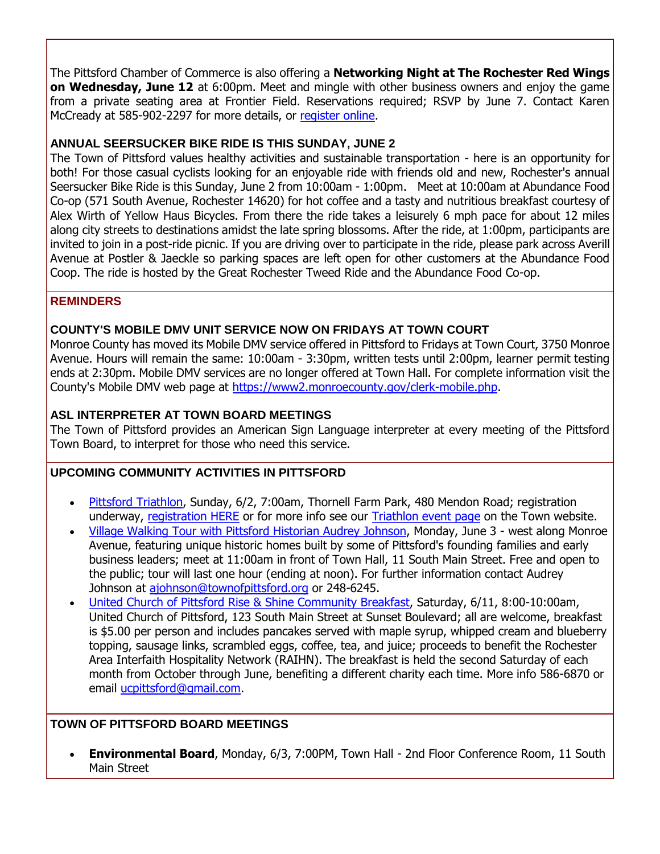The Pittsford Chamber of Commerce is also offering a **Networking Night at The Rochester Red Wings on Wednesday, June 12** at 6:00pm. Meet and mingle with other business owners and enjoy the game from a private seating area at Frontier Field. Reservations required; RSVP by June 7. Contact Karen McCready at 585-902-2297 for more details, or [register online.](http://r20.rs6.net/tn.jsp?f=001P6PuE_jPU8m2jcFySMy50smOMCmqE6EOZbotH9dMVpRp1KZzqs9vnuWzNuVUvbzGZtHyNsPb8q2ncVBBBPY_u0PJQNQc-FSGj_w41z9wO3F5BtxqCGhhDz4xaBO8WCKPaZEgAoFVfxJtizf7-Aarcj6tsg7jdbQRURyLeftNHAGQ3bILxacRNsatxOR_Kt9s6MyJtwvSY98vDcKvbaEskZMY109qBsx_-ewFO7DoSxGoqG0aY8-3FvR-Aym1iLTVr6Og2HfhjrnF08fzwvasBHex8sRTC9mxfWzSSR1iFn9i_-vf7nbsiKLpEsSh4zFX_dlpBmQ6PZwXFxKdEywjMpMdOCDbzvMh6h2RdKZrP7shwkK3P7zDETfptGdC6pqTJJz2wzRb3CE=&c=q2lKtz_Vl2evir0swC0pSpBNavNFHjI1DWFZq1FsdwoHCD_IQp5xpQ==&ch=G8pmR5EhsxUWkgmLJbEBCAP9Z7M11YD71rbETxQTvjMLrd96uMiFvw==)

#### **ANNUAL SEERSUCKER BIKE RIDE IS THIS SUNDAY, JUNE 2**

The Town of Pittsford values healthy activities and sustainable transportation - here is an opportunity for both! For those casual cyclists looking for an enjoyable ride with friends old and new, Rochester's annual Seersucker Bike Ride is this Sunday, June 2 from 10:00am - 1:00pm. Meet at 10:00am at Abundance Food Co-op (571 South Avenue, Rochester 14620) for hot coffee and a tasty and nutritious breakfast courtesy of Alex Wirth of Yellow Haus Bicycles. From there the ride takes a leisurely 6 mph pace for about 12 miles along city streets to destinations amidst the late spring blossoms. After the ride, at 1:00pm, participants are invited to join in a post-ride picnic. If you are driving over to participate in the ride, please park across Averill Avenue at Postler & Jaeckle so parking spaces are left open for other customers at the Abundance Food Coop. The ride is hosted by the Great Rochester Tweed Ride and the Abundance Food Co-op.

#### **REMINDERS**

#### **COUNTY'S MOBILE DMV UNIT SERVICE NOW ON FRIDAYS AT TOWN COURT**

Monroe County has moved its Mobile DMV service offered in Pittsford to Fridays at Town Court, 3750 Monroe Avenue. Hours will remain the same: 10:00am - 3:30pm, written tests until 2:00pm, learner permit testing ends at 2:30pm. Mobile DMV services are no longer offered at Town Hall. For complete information visit the County's Mobile DMV web page at [https://www2.monroecounty.gov/clerk-mobile.php.](http://r20.rs6.net/tn.jsp?f=001P6PuE_jPU8m2jcFySMy50smOMCmqE6EOZbotH9dMVpRp1KZzqs9vnuiXsbBLZJ749H9f0-tPR-unk9j5apEzlFGx1LTipJp1aM8mFlUDW9YUE-XAaSDuqT39zj6YcqCcsV_1lCVrRQPdoLoYdDkM157CqGkzxZiDVE4g4qzlw7MUFGveiV_4ToiddS9xiyODfJovWkmLOIMdb5EW4L_RiIRG3PpkOA4M8a3jGJnJP8H_JZ95n095_qcar-p6fzjFuOybkZ_2QTo4dPm_XM2e81EkgJUbpXmnsLHmL3WLUEj5WWJbKB9EEXWqKTCK-AX2&c=q2lKtz_Vl2evir0swC0pSpBNavNFHjI1DWFZq1FsdwoHCD_IQp5xpQ==&ch=G8pmR5EhsxUWkgmLJbEBCAP9Z7M11YD71rbETxQTvjMLrd96uMiFvw==)

#### **ASL INTERPRETER AT TOWN BOARD MEETINGS**

The Town of Pittsford provides an American Sign Language interpreter at every meeting of the Pittsford Town Board, to interpret for those who need this service.

#### **UPCOMING COMMUNITY ACTIVITIES IN PITTSFORD**

- [Pittsford Triathlon,](http://r20.rs6.net/tn.jsp?f=001P6PuE_jPU8m2jcFySMy50smOMCmqE6EOZbotH9dMVpRp1KZzqs9vnt8RgsZ5k_mou0qzAk55W6Ul3xcAh_hdvWQLQ8G_4TXWA9nowgCcQ4LqWpymOpQosUq8sgHX5LLIs21XuSgQzLNaupuwlR0vC15GcmbA5DvjwH7Am3lri-rxNdo8uiTRjXcS2-P0aMn7spn6xN-C0dbEHhpeXyZv2oVo4AV9zPRAAY6qMLkbPi_1Uh4a0ncaZUejbn2KDhazYuy61YFCBxgGsEXwEpomAJ8sJI2-FLJHBe5S8rgSBEkE09CsPRxZJg==&c=q2lKtz_Vl2evir0swC0pSpBNavNFHjI1DWFZq1FsdwoHCD_IQp5xpQ==&ch=G8pmR5EhsxUWkgmLJbEBCAP9Z7M11YD71rbETxQTvjMLrd96uMiFvw==) Sunday, 6/2, 7:00am, Thornell Farm Park, 480 Mendon Road; registration underway, [registration HERE](http://r20.rs6.net/tn.jsp?f=001P6PuE_jPU8m2jcFySMy50smOMCmqE6EOZbotH9dMVpRp1KZzqs9vnt8RgsZ5k_moxdKGtaEPBk9jxPawYX9Htjncey2jZ9EUDpFMUymlE3CYltQ4vmSP206EWf_wm5pv5HYUgSp4RolaEMmR37rA9lO8LmII1WIafir0rJLxIgw6LnT7NXzZXknDK-CywvzOUM-Qcg8rqcfxvbFmQ8cUgXPw-QQMlrhw7LMGuUettM6sD9imM_JaV6TJTwNcHte3x2ypzPZDAOKrOHAF2dosxWtxsMMgwupGW0i0DoFULfn97yYrXR21hvw8tEwe4Z8gMErv3AlY3qm14o_u_D-VxA==&c=q2lKtz_Vl2evir0swC0pSpBNavNFHjI1DWFZq1FsdwoHCD_IQp5xpQ==&ch=G8pmR5EhsxUWkgmLJbEBCAP9Z7M11YD71rbETxQTvjMLrd96uMiFvw==) or for more info see our [Triathlon event page](http://r20.rs6.net/tn.jsp?f=001P6PuE_jPU8m2jcFySMy50smOMCmqE6EOZbotH9dMVpRp1KZzqs9vnt8RgsZ5k_mou0qzAk55W6Ul3xcAh_hdvWQLQ8G_4TXWA9nowgCcQ4LqWpymOpQosUq8sgHX5LLIs21XuSgQzLNaupuwlR0vC15GcmbA5DvjwH7Am3lri-rxNdo8uiTRjXcS2-P0aMn7spn6xN-C0dbEHhpeXyZv2oVo4AV9zPRAAY6qMLkbPi_1Uh4a0ncaZUejbn2KDhazYuy61YFCBxgGsEXwEpomAJ8sJI2-FLJHBe5S8rgSBEkE09CsPRxZJg==&c=q2lKtz_Vl2evir0swC0pSpBNavNFHjI1DWFZq1FsdwoHCD_IQp5xpQ==&ch=G8pmR5EhsxUWkgmLJbEBCAP9Z7M11YD71rbETxQTvjMLrd96uMiFvw==) on the Town website.
- [Village Walking Tour with Pittsford Historian Audrey Johnson,](http://r20.rs6.net/tn.jsp?f=001P6PuE_jPU8m2jcFySMy50smOMCmqE6EOZbotH9dMVpRp1KZzqs9vnuWzNuVUvbzGps1DgeN58RLdIA6KbgPjs9_edHsbFtVoxzc1bW16um19UEsjfwMoFA9jCU2zh3K0RCvja5qDxPrqTpaoCuqhh8wxzN7Otr4fkM1lTf4LNmeB-Qx6pQAKZZZkuEzwKHew1wS3o0Ec0wRWY78lfgrGCqQMm3WPUuQdCFqB97t-orkTaInoC2rLHknKVMOF4xeefVXfoCdb8uNjPlL4n3JEV1trc0b6O4f0NqOVnwxGPy3NRK8gzoCp_esK4KQpFMotYP5XcIy4joNQ7277PNyxlH51WfNJ2b_O&c=q2lKtz_Vl2evir0swC0pSpBNavNFHjI1DWFZq1FsdwoHCD_IQp5xpQ==&ch=G8pmR5EhsxUWkgmLJbEBCAP9Z7M11YD71rbETxQTvjMLrd96uMiFvw==) Monday, June 3 west along Monroe Avenue, featuring unique historic homes built by some of Pittsford's founding families and early business leaders; meet at 11:00am in front of Town Hall, 11 South Main Street. Free and open to the public; tour will last one hour (ending at noon). For further information contact Audrey Johnson at [ajohnson@townofpittsford.org](mailto:ajohnson@townofpittsford.org?subject=Pittsford%20Village%20Historic%20Walking%20Tour) or 248-6245.
- [United Church of Pittsford Rise & Shine Community Breakfast,](http://r20.rs6.net/tn.jsp?f=001P6PuE_jPU8m2jcFySMy50smOMCmqE6EOZbotH9dMVpRp1KZzqs9vnoCn2nAhfbxlobWXPr4ynMahobK_UgiN8bJwMdSw7FwX74ThHzq33l5YklLA-eumKTAhoWvlfoxEdj8ViD8vTrD8_pfsFjvEI_CXUh0iQGa2-n7-8ZEGVaOAmCoUVUK5coad-DMlxSoGdWD71WayBmUhwCgAtRNhG0p6xnPTR8DUDDGXsPjeZ6sv-nGYO56cC6PVenAvKjP7KE5mRvGtgUHlbz1qhYyV0EhzSXG3G9tc5PmLuZw9G2s=&c=q2lKtz_Vl2evir0swC0pSpBNavNFHjI1DWFZq1FsdwoHCD_IQp5xpQ==&ch=G8pmR5EhsxUWkgmLJbEBCAP9Z7M11YD71rbETxQTvjMLrd96uMiFvw==) Saturday, 6/11, 8:00-10:00am, United Church of Pittsford, 123 South Main Street at Sunset Boulevard; all are welcome, breakfast is \$5.00 per person and includes pancakes served with maple syrup, whipped cream and blueberry topping, sausage links, scrambled eggs, coffee, tea, and juice; proceeds to benefit the Rochester Area Interfaith Hospitality Network (RAIHN). The breakfast is held the second Saturday of each month from October through June, benefiting a different charity each time. More info 586-6870 or email [ucpittsford@gmail.com.](mailto:ucpittsford@gmail.com?subject=Rise%20and%20Shine%20Pancake%20Breakfast)

#### **TOWN OF PITTSFORD BOARD MEETINGS**

 **Environmental Board**, Monday, 6/3, 7:00PM, Town Hall - 2nd Floor Conference Room, 11 South Main Street